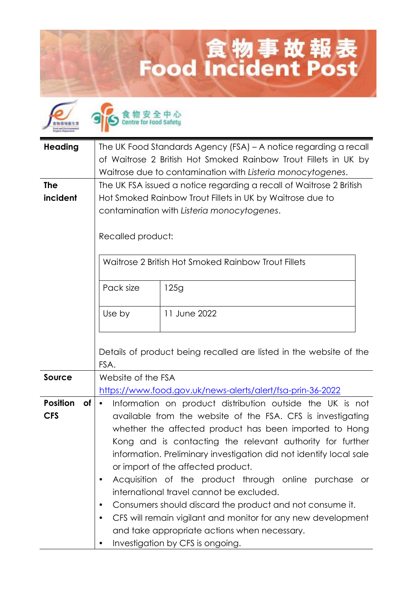## 食物事故報表<br>Food Incident Post

| <b>Heading</b>                             | The UK Food Standards Agency (FSA) – A notice regarding a recall<br>of Waitrose 2 British Hot Smoked Rainbow Trout Fillets in UK by<br>Waitrose due to contamination with Listeria monocytogenes.                                                                                                                                                                                                                                                                                                                                                                                                                                                                                                       |                                                                    |  |
|--------------------------------------------|---------------------------------------------------------------------------------------------------------------------------------------------------------------------------------------------------------------------------------------------------------------------------------------------------------------------------------------------------------------------------------------------------------------------------------------------------------------------------------------------------------------------------------------------------------------------------------------------------------------------------------------------------------------------------------------------------------|--------------------------------------------------------------------|--|
| <b>The</b><br>incident                     | The UK FSA issued a notice regarding a recall of Waitrose 2 British<br>Hot Smoked Rainbow Trout Fillets in UK by Waitrose due to<br>contamination with Listeria monocytogenes.<br>Recalled product:                                                                                                                                                                                                                                                                                                                                                                                                                                                                                                     |                                                                    |  |
|                                            | Waitrose 2 British Hot Smoked Rainbow Trout Fillets                                                                                                                                                                                                                                                                                                                                                                                                                                                                                                                                                                                                                                                     |                                                                    |  |
|                                            | Pack size                                                                                                                                                                                                                                                                                                                                                                                                                                                                                                                                                                                                                                                                                               | 125g                                                               |  |
|                                            | Use by                                                                                                                                                                                                                                                                                                                                                                                                                                                                                                                                                                                                                                                                                                  | 11 June 2022                                                       |  |
|                                            | FSA.                                                                                                                                                                                                                                                                                                                                                                                                                                                                                                                                                                                                                                                                                                    | Details of product being recalled are listed in the website of the |  |
| <b>Source</b>                              | Website of the FSA<br>https://www.food.gov.uk/news-alerts/alert/fsa-prin-36-2022                                                                                                                                                                                                                                                                                                                                                                                                                                                                                                                                                                                                                        |                                                                    |  |
| <b>Position</b><br><b>of</b><br><b>CFS</b> | Information on product distribution outside the UK is not<br>$\bullet$<br>available from the website of the FSA. CFS is investigating<br>whether the affected product has been imported to Hong<br>Kong and is contacting the relevant authority for further<br>information. Preliminary investigation did not identify local sale<br>or import of the affected product.<br>Acquisition of the product through online purchase or<br>٠<br>international travel cannot be excluded.<br>Consumers should discard the product and not consume it.<br>٠<br>CFS will remain vigilant and monitor for any new development<br>and take appropriate actions when necessary.<br>Investigation by CFS is ongoing. |                                                                    |  |